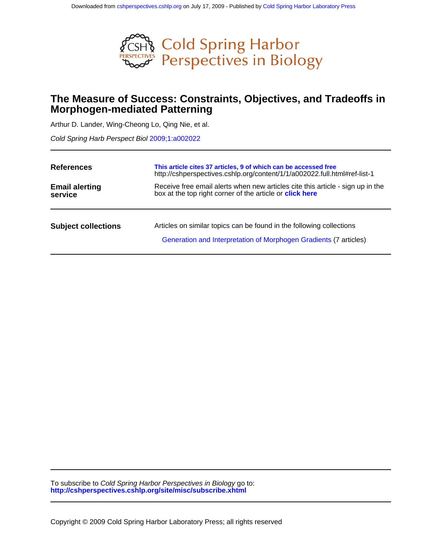

# **Morphogen-mediated Patterning The Measure of Success: Constraints, Objectives, and Tradeoffs in**

Arthur D. Lander, Wing-Cheong Lo, Qing Nie, et al.

Cold Spring Harb Perspect Biol [2009;1:a002022](http://cshperspectives.cshlp.org/content/1/1/a002022.abstract.html)

| <b>References</b>                | This article cites 37 articles, 9 of which can be accessed free<br>http://cshperspectives.cshlp.org/content/1/1/a002022.full.html#ref-list-1      |  |
|----------------------------------|---------------------------------------------------------------------------------------------------------------------------------------------------|--|
| <b>Email alerting</b><br>service | Receive free email alerts when new articles cite this article - sign up in the<br>box at the top right corner of the article or <b>click here</b> |  |
| <b>Subject collections</b>       | Articles on similar topics can be found in the following collections<br>Generation and Interpretation of Morphogen Gradients (7 articles)         |  |

**<http://cshperspectives.cshlp.org/site/misc/subscribe.xhtml>** To subscribe to Cold Spring Harbor Perspectives in Biology go to: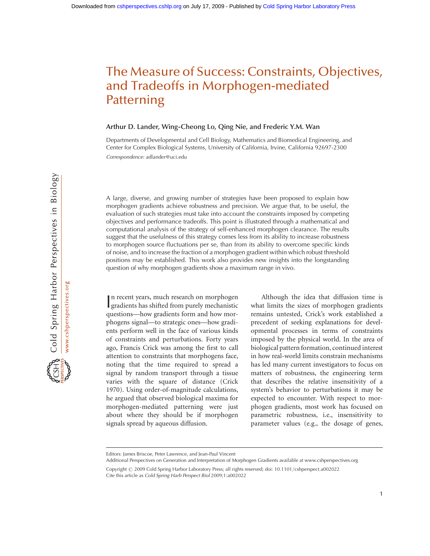# The Measure of Success: Constraints, Objectives, and Tradeoffs in Morphogen-mediated Patterning

# Arthur D. Lander, Wing-Cheong Lo, Qing Nie, and Frederic Y.M. Wan

Departments of Developmental and Cell Biology, Mathematics and Biomedical Engineering, and Center for Complex Biological Systems, University of California, Irvine, California 92697-2300 Correspondence: adlander@uci.edu

A large, diverse, and growing number of strategies have been proposed to explain how morphogen gradients achieve robustness and precision. We argue that, to be useful, the evaluation of such strategies must take into account the constraints imposed by competing objectives and performance tradeoffs. This point is illustrated through a mathematical and computational analysis of the strategy of self-enhanced morphogen clearance. The results suggest that the usefulness of this strategy comes less from its ability to increase robustness to morphogen source fluctuations per se, than from its ability to overcome specific kinds of noise, and to increase the fraction of a morphogen gradient within which robust threshold positions may be established. This work also provides new insights into the longstanding question of why morphogen gradients show a maximum range in vivo.

I gradients has shifted from purely mechanistic n recent years, much research on morphogen questions—how gradients form and how morphogens signal—to strategic ones—how gradients perform well in the face of various kinds of constraints and perturbations. Forty years ago, Francis Crick was among the first to call attention to constraints that morphogens face, noting that the time required to spread a signal by random transport through a tissue varies with the square of distance (Crick 1970). Using order-of-magnitude calculations, he argued that observed biological maxima for morphogen-mediated patterning were just about where they should be if morphogen signals spread by aqueous diffusion.

Although the idea that diffusion time is what limits the sizes of morphogen gradients remains untested, Crick's work established a precedent of seeking explanations for developmental processes in terms of constraints imposed by the physical world. In the area of biological pattern formation, continued interest in how real-world limits constrain mechanisms has led many current investigators to focus on matters of robustness, the engineering term that describes the relative insensitivity of a system's behavior to perturbations it may be expected to encounter. With respect to morphogen gradients, most work has focused on parametric robustness, i.e., insensitivity to parameter values (e.g., the dosage of genes,

Editors: James Briscoe, Peter Lawrence, and Jean-Paul Vincent

Additional Perspectives on Generation and Interpretation of Morphogen Gradients available at www.cshperspectives.org

Copyright @ 2009 Cold Spring Harbor Laboratory Press; all rights reserved; doi: 10.1101/cshperspect.a002022 Cite this article as Cold Spring Harb Perspect Biol 2009;1:a002022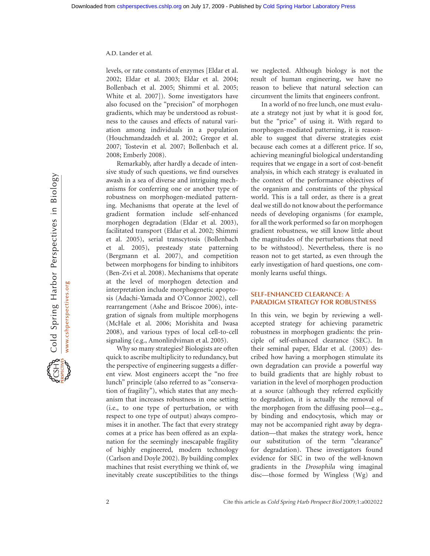levels, or rate constants of enzymes [Eldar et al. 2002; Eldar et al. 2003; Eldar et al. 2004; Bollenbach et al. 2005; Shimmi et al. 2005; White et al. 2007]). Some investigators have also focused on the "precision" of morphogen gradients, which may be understood as robustness to the causes and effects of natural variation among individuals in a population (Houchmandzadeh et al. 2002; Gregor et al. 2007; Tostevin et al. 2007; Bollenbach et al. 2008; Emberly 2008).

Remarkably, after hardly a decade of intensive study of such questions, we find ourselves awash in a sea of diverse and intriguing mechanisms for conferring one or another type of robustness on morphogen-mediated patterning. Mechanisms that operate at the level of gradient formation include self-enhanced morphogen degradation (Eldar et al. 2003), facilitated transport (Eldar et al. 2002; Shimmi et al. 2005), serial transcytosis (Bollenbach et al. 2005), presteady state patterning (Bergmann et al. 2007), and competition between morphogens for binding to inhibitors (Ben-Zvi et al. 2008). Mechanisms that operate at the level of morphogen detection and interpretation include morphogenetic apoptosis (Adachi-Yamada and O'Connor 2002), cell rearrangement (Ashe and Briscoe 2006), integration of signals from multiple morphogens (McHale et al. 2006; Morishita and Iwasa 2008), and various types of local cell-to-cell signaling (e.g., Amonlirdviman et al. 2005).

Why so many strategies? Biologists are often quick to ascribe multiplicity to redundancy, but the perspective of engineering suggests a different view. Most engineers accept the "no free lunch" principle (also referred to as "conservation of fragility"), which states that any mechanism that increases robustness in one setting (i.e., to one type of perturbation, or with respect to one type of output) always compromises it in another. The fact that every strategy comes at a price has been offered as an explanation for the seemingly inescapable fragility of highly engineered, modern technology (Carlson and Doyle 2002). By building complex machines that resist everything we think of, we inevitably create susceptibilities to the things we neglected. Although biology is not the result of human engineering, we have no reason to believe that natural selection can circumvent the limits that engineers confront.

In a world of no free lunch, one must evaluate a strategy not just by what it is good for, but the "price" of using it. With regard to morphogen-mediated patterning, it is reasonable to suggest that diverse strategies exist because each comes at a different price. If so, achieving meaningful biological understanding requires that we engage in a sort of cost-benefit analysis, in which each strategy is evaluated in the context of the performance objectives of the organism and constraints of the physical world. This is a tall order, as there is a great deal we still do not know about the performance needs of developing organisms (for example, for all the work performed so far on morphogen gradient robustness, we still know little about the magnitudes of the perturbations that need to be withstood). Nevertheless, there is no reason not to get started, as even through the early investigation of hard questions, one commonly learns useful things.

# SELF-ENHANCED CLEARANCE: A PARADIGM STRATEGY FOR ROBUSTNESS

In this vein, we begin by reviewing a wellaccepted strategy for achieving parametric robustness in morphogen gradients: the principle of self-enhanced clearance (SEC). In their seminal paper, Eldar et al. (2003) described how having a morphogen stimulate its own degradation can provide a powerful way to build gradients that are highly robust to variation in the level of morphogen production at a source (although they referred explicitly to degradation, it is actually the removal of the morphogen from the diffusing pool—e.g., by binding and endocytosis, which may or may not be accompanied right away by degradation—that makes the strategy work, hence our substitution of the term "clearance" for degradation). These investigators found evidence for SEC in two of the well-known gradients in the Drosophila wing imaginal disc—those formed by Wingless (Wg) and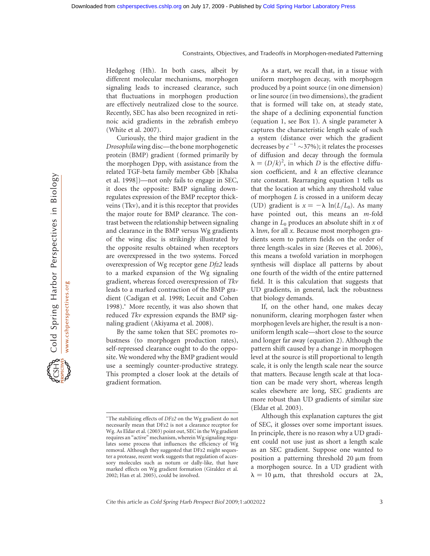Hedgehog (Hh). In both cases, albeit by different molecular mechanisms, morphogen signaling leads to increased clearance, such that fluctuations in morphogen production are effectively neutralized close to the source. Recently, SEC has also been recognized in retinoic acid gradients in the zebrafish embryo (White et al. 2007).

Curiously, the third major gradient in the Drosophilawing disc—the bone morphogenetic protein (BMP) gradient (formed primarily by the morphogen Dpp, with assistance from the related TGF-beta family member Gbb [Khalsa et al. 1998])—not only fails to engage in SEC, it does the opposite: BMP signaling downregulates expression of the BMP receptor thickveins (Tkv), and it is this receptor that provides the major route for BMP clearance. The contrast between the relationship between signaling and clearance in the BMP versus Wg gradients of the wing disc is strikingly illustrated by the opposite results obtained when receptors are overexpressed in the two systems. Forced overexpression of Wg receptor gene Dfz2 leads to a marked expansion of the Wg signaling gradient, whereas forced overexpression of Tkv leads to a marked contraction of the BMP gradient (Cadigan et al. 1998; Lecuit and Cohen 1998).<sup>\*</sup> More recently, it was also shown that reduced Tkv expression expands the BMP signaling gradient (Akiyama et al. 2008).

By the same token that SEC promotes robustness (to morphogen production rates), self-repressed clearance ought to do the opposite. We wondered why the BMP gradient would use a seemingly counter-productive strategy. This prompted a closer look at the details of gradient formation.

As a start, we recall that, in a tissue with uniform morphogen decay, with morphogen produced by a point source (in one dimension) or line source (in two dimensions), the gradient that is formed will take on, at steady state, the shape of a declining exponential function (equation 1, see Box 1). A single parameter  $\lambda$ captures the characteristic length scale of such a system (distance over which the gradient decreases by  $e^{-1} \sim 37\%$ ); it relates the processes of diffusion and decay through the formula  $\lambda = (D/k)^2$ , in which D is the effective diffusion coefficient, and  $k$  an effective clearance rate constant. Rearranging equation 1 tells us that the location at which any threshold value of morphogen  $L$  is crossed in a uniform decay (UD) gradient is  $x = -\lambda \ln(L/L_0)$ . As many have pointed out, this means an *m*-fold change in  $L_0$  produces an absolute shift in x of  $\lambda$  lnm, for all x. Because most morphogen gradients seem to pattern fields on the order of three length-scales in size (Reeves et al. 2006), this means a twofold variation in morphogen synthesis will displace all patterns by about one fourth of the width of the entire patterned field. It is this calculation that suggests that UD gradients, in general, lack the robustness that biology demands.

If, on the other hand, one makes decay nonuniform, clearing morphogen faster when morphogen levels are higher, the result is a nonuniform length scale—short close to the source and longer far away (equation 2). Although the pattern shift caused by a change in morphogen level at the source is still proportional to length scale, it is only the length scale near the source that matters. Because length scale at that location can be made very short, whereas length scales elsewhere are long, SEC gradients are more robust than UD gradients of similar size (Eldar et al. 2003).

Although this explanation captures the gist of SEC, it glosses over some important issues. In principle, there is no reason why a UD gradient could not use just as short a length scale as an SEC gradient. Suppose one wanted to position a patterning threshold  $20 \mu m$  from a morphogen source. In a UD gradient with  $\lambda = 10 \,\mu \text{m}$ , that threshold occurs at 2 $\lambda$ ,

<sup>-</sup>The stabilizing effects of DFz2 on the Wg gradient do not necessarily mean that DFz2 is not a clearance receptor for Wg. As Eldar et al. (2003) point out, SEC in the Wg gradient requires an "active" mechanism, wherein Wg signaling regulates some process that influences the efficiency of Wg removal. Although they suggested that DFz2 might sequester a protease, recent work suggests that regulation of accessory molecules such as notum or dally-like, that have marked effects on Wg gradient formation (Giraldez et al. 2002; Han et al. 2005), could be involved.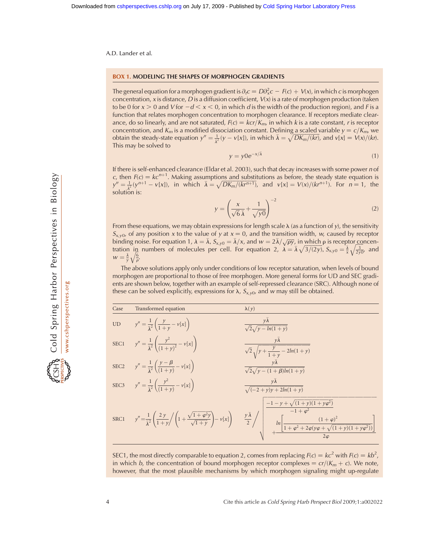#### BOX 1. MODELING THE SHAPES OF MORPHOGEN GRADIENTS

The general equation for a morphogen gradient is  $\partial_t c = D \partial_x^2 c - F(c) + V(x)$ , in which c is morphogen concentration, x is distance, D is a diffusion coefficient,  $V(x)$  is a rate of morphogen production (taken to be 0 for  $x > 0$  and V for  $-d < x < 0$ , in which d is the width of the production region), and F is a function that relates morphogen concentration to morphogen clearance. If receptors mediate clearance, do so linearly, and are not saturated,  $F(c) = \frac{kcr}{K_m}$  in which k is a rate constant, r is receptor concentration, and  $K_m$  is a modified dissociation constant. Defining a scaled variable  $y = c/K_m$ , we obtain the steady-state equation  $y'' = \frac{1}{\lambda^2} (y - v[x])$ , in which  $\overline{\lambda} = \sqrt{D K_m / (k r)}$ , and  $v[x] = V(x)/(k r)$ . This may be solved to

$$
y = y0e^{-x/\bar{\lambda}} \tag{1}
$$

If there is self-enhanced clearance (Eldar et al. 2003), such that decay increases with some power n of c, then  $F(c) = kc^{n+1}$ . Making assumptions and substitutions as before, the steady state equation is  $y'' = \frac{1}{\lambda^2} (y^{n+1} - v[x])$ , in which  $\bar{\lambda} = \sqrt{D K_m / (k r^{n+1})}$ , and  $v[x] = V(x)/(k r^{n+1})$ . For  $n = 1$ , the solution is:

$$
y = \left(\frac{x}{\sqrt{6}\,\bar{\lambda}} + \frac{1}{\sqrt{y0}}\right)^{-2} \tag{2}
$$

From these equations, we may obtain expressions for length scale  $\lambda$  (as a function of y), the sensitivity  $S_{x,y0}$ , of any position x to the value of y at  $x = 0$ , and the transition width, w, caused by receptor binding noise. For equation 1,  $\lambda = \overline{\lambda}$ ,  $S_{x,y0} = \overline{\lambda}/x$ , and  $w = 2\overline{\lambda}/\sqrt{\rho y}$ , in which  $\rho$  is receptor concentration in numbers of molecules per cell. For equation 2,  $\lambda = \overline{\lambda} \sqrt{3/(2y)}$ ,  $S_{x,y0} = \frac{\lambda}{x} \sqrt{\frac{3}{2y0}}$ , and  $W = \frac{\overline{\lambda}}{y} \sqrt{\frac{6}{\rho}}$ .

The above solutions apply only under conditions of low receptor saturation, when levels of bound morphogen are proportional to those of free morphogen. More general forms for UD and SEC gradients are shown below, together with an example of self-repressed clearance (SRC). Although none of these can be solved explicitly, expressions for  $\lambda$ ,  $S_{x,y0}$ , and w may still be obtained.

| Case | Transformed equation                                                       | $\lambda(y)$                                                                                                                                                                                                                                                                                          |
|------|----------------------------------------------------------------------------|-------------------------------------------------------------------------------------------------------------------------------------------------------------------------------------------------------------------------------------------------------------------------------------------------------|
|      | UD $y'' = \frac{1}{\lambda^2} \left( \frac{y}{1 + y} - v[x] \right)$       | $\frac{y\lambda}{\sqrt{2}\sqrt{y - \ln(1+y)}}$                                                                                                                                                                                                                                                        |
|      | SEC1 $y'' = \frac{1}{\lambda^2} \left( \frac{y^2}{(1+y)^2} - v[x] \right)$ | $\frac{y}{\sqrt{2}\sqrt{y+\frac{y}{1+y}-2ln(1+y)}}$                                                                                                                                                                                                                                                   |
|      | SEC2 $y'' = \frac{1}{2^2} \left( \frac{y - \beta}{(1 + v)} - v[x] \right)$ | $\frac{y\overline{\lambda}}{\sqrt{2}\sqrt{y-(1+\beta)ln(1+y)}}$                                                                                                                                                                                                                                       |
|      | SEC3 $y'' = \frac{1}{2} \left( \frac{y^2}{(1+y)} - v[x] \right)$           | $\frac{y\lambda}{\sqrt{(-2+y)y+2ln(1+y)}}$                                                                                                                                                                                                                                                            |
|      |                                                                            | SRC1 $y'' = \frac{1}{\lambda^2} \left( \frac{2y}{1+y} / \left( 1 + \frac{\sqrt{1+\varphi^2 y}}{\sqrt{1+y}} \right) - v[x] \right)$ $\frac{y\bar{\lambda}}{2} / \sqrt{\frac{-1 - y + \sqrt{(1+y)(1+y\varphi^2)}}{\ln \left[ 1 + \varphi^2 + 2\varphi(y\varphi + \sqrt{(1+y)(1+y\varphi^2)}) \right]}}$ |

SEC1, the most directly comparable to equation 2, comes from replacing  $F(c) = kc^2$  with  $F(c) = kb^2$ , in which b, the concentration of bound morphogen receptor complexes =  $cr/(K_m + c)$ . We note, however, that the most plausible mechanisms by which morphogen signaling might up-regulate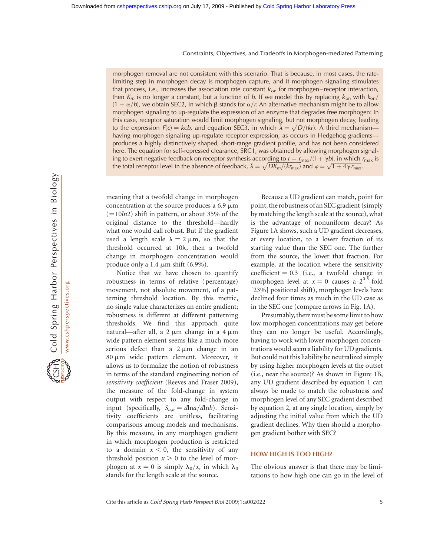morphogen removal are not consistent with this scenario. That is because, in most cases, the ratelimiting step in morphogen decay is morphogen capture, and if morphogen signaling stimulates that process, i.e., increases the association rate constant  $k_{on}$  for morphogen–receptor interaction, then  $K_m$  is no longer a constant, but a function of b. If we model this by replacing  $K_{\text{on}}$  with  $K_{\text{on}}$  $(1 + \alpha/b)$ , we obtain SEC2, in which  $\beta$  stands for  $\alpha/r$ . An alternative mechanism might be to allow morphogen signaling to up-regulate the expression of an enzyme that degrades free morphogen: In this case, receptor saturation would limit morphogen signaling, but not morphogen decay, leading to the expression  $F(c) = kcb$ , and equation SEC3, in which  $\bar{\lambda} = \sqrt{D/(kr)}$ . A third mechanism having morphogen signaling up-regulate receptor expression, as occurs in Hedgehog gradients produces a highly distinctively shaped, short-range gradient profile, and has not been considered here. The equation for self-repressed clearance, SRC1, was obtained by allowing morphogen signaling to exert negative feedback on receptor synthesis according to  $r = r_{\text{max}}/(1 + \gamma b)$ , in which  $r_{\text{max}}$  is the total receptor level in the absence of feedback,  $\bar{\lambda} = \sqrt{D K_m/(k r_{\text{max}})}$  and  $\varphi = \sqrt{1 + 4 \gamma r_{\text{max}}}$ .

meaning that a twofold change in morphogen concentration at the source produces a  $6.9 \mu m$  $(=10ln2)$  shift in pattern, or about 35% of the original distance to the threshold—hardly what one would call robust. But if the gradient used a length scale  $\lambda = 2 \mu m$ , so that the threshold occurred at  $10\lambda$ , then a twofold change in morphogen concentration would produce only a 1.4  $\mu$ m shift (6.9%).

Notice that we have chosen to quantify robustness in terms of relative (percentage) movement, not absolute movement, of a patterning threshold location. By this metric, no single value characterizes an entire gradient; robustness is different at different patterning thresholds. We find this approach quite natural—after all, a 2  $\mu$ m change in a 4  $\mu$ m wide pattern element seems like a much more serious defect than a  $2 \mu m$  change in an  $80 \mu m$  wide pattern element. Moreover, it allows us to formalize the notion of robustness in terms of the standard engineering notion of sensitivity coefficient (Reeves and Fraser 2009), the measure of the fold-change in system output with respect to any fold-change in input (specifically,  $S_{a,b} = d \ln a / d \ln b$ ). Sensitivity coefficients are unitless, facilitating comparisons among models and mechanisms. By this measure, in any morphogen gradient in which morphogen production is restricted to a domain  $x < 0$ , the sensitivity of any threshold position  $x > 0$  to the level of morphogen at  $x = 0$  is simply  $\lambda_0/x$ , in which  $\lambda_0$ stands for the length scale at the source.

Because a UD gradient can match, point for point, the robustness of an SEC gradient (simply by matching the length scale at the source), what is the advantage of nonuniform decay? As Figure 1A shows, such a UD gradient decreases, at every location, to a lower fraction of its starting value than the SEC one. The further from the source, the lower that fraction. For example, at the location where the sensitivity coefficient  $= 0.3$  (i.e., a twofold change in morphogen level at  $x = 0$  causes a  $2^{0.3}$ -fold [23%] positional shift), morphogen levels have declined four times as much in the UD case as in the SEC one (compare arrows in Fig. 1A).

Presumably, there must be some limit to how low morphogen concentrations may get before they can no longer be useful. Accordingly, having to work with lower morphogen concentrations would seem a liability for UD gradients. But could not this liability be neutralized simply by using higher morphogen levels at the outset (i.e., near the source)? As shown in Figure 1B, any UD gradient described by equation 1 can always be made to match the robustness and morphogen level of any SEC gradient described by equation 2, at any single location, simply by adjusting the initial value from which the UD gradient declines. Why then should a morphogen gradient bother with SEC?

## HOW HIGH IS TOO HIGH?

The obvious answer is that there may be limitations to how high one can go in the level of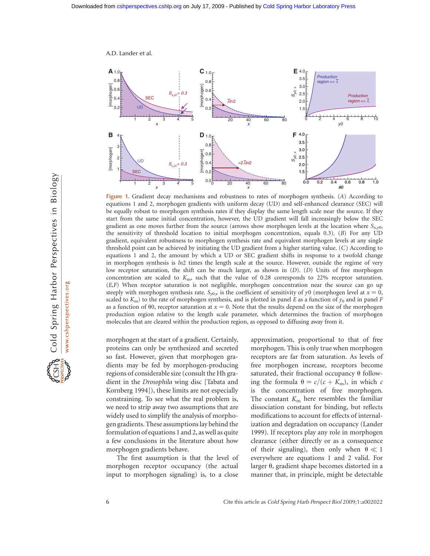



2.5 3.0 3.5 E 4.0

*Production region* >> *l*

*Production*

*Sy0*, *v*

Figure 1. Gradient decay mechanisms and robustness to rates of morphogen synthesis. (A) According to equations 1 and 2, morphogen gradients with uniform decay (UD) and self-enhanced clearance (SEC) will be equally robust to morphogen synthesis rates if they display the same length scale near the source. If they start from the same initial concentration, however, the UD gradient will fall increasingly below the SEC gradient as one moves further from the source (arrows show morphogen levels at the location where  $S_{x,v0}$ , the sensitivity of threshold location to initial morphogen concentration, equals 0.3). (B) For any UD gradient, equivalent robustness to morphogen synthesis rate and equivalent morphogen levels at any single threshold point can be achieved by initiating the UD gradient from a higher starting value. (C) According to equations 1 and 2, the amount by which a UD or SEC gradient shifts in response to a twofold change in morphogen synthesis is  $ln2$  times the length scale at the source. However, outside the regime of very low receptor saturation, the shift can be much larger, as shown in  $(D)$ .  $(D)$  Units of free morphogen concentration are scaled to  $K<sub>m</sub>$ , such that the value of 0.28 corresponds to 22% receptor saturation. (E,F) When receptor saturation is not negligible, morphogen concentration near the source can go up steeply with morphogen synthesis rate.  $S_{y0,y}$  is the coefficient of sensitivity of y0 (morphogen level at  $x = 0$ , scaled to  $K_m$ ) to the rate of morphogen synthesis, and is plotted in panel E as a function of  $y_0$  and in panel F as a function of  $\theta$ 0, receptor saturation at  $x = 0$ . Note that the results depend on the size of the morphogen production region relative to the length scale parameter, which determines the fraction of morphogen molecules that are cleared within the production region, as opposed to diffusing away from it.

morphogen at the start of a gradient. Certainly, proteins can only be synthesized and secreted so fast. However, given that morphogen gradients may be fed by morphogen-producing regions of considerable size (consult the Hh gradient in the Drosophila wing disc [Tabata and Kornberg 1994]), these limits are not especially constraining. To see what the real problem is, we need to strip away two assumptions that are widely used to simplify the analysis of morphogen gradients. These assumptions lay behind the formulation of equations 1 and 2, as well as quite a few conclusions in the literature about how morphogen gradients behave.

The first assumption is that the level of morphogen receptor occupancy (the actual input to morphogen signaling) is, to a close approximation, proportional to that of free morphogen. This is only true when morphogen receptors are far from saturation. As levels of free morphogen increase, receptors become saturated, their fractional occupancy  $\theta$  following the formula  $\theta = c/(c + K_{\rm m})$ , in which c is the concentration of free morphogen. The constant  $K<sub>m</sub>$  here resembles the familiar dissociation constant for binding, but reflects modifications to account for effects of internalization and degradation on occupancy (Lander 1999). If receptors play any role in morphogen clearance (either directly or as a consequence of their signaling), then only when  $\theta \ll 1$ everywhere are equations 1 and 2 valid. For larger  $\theta$ , gradient shape becomes distorted in a manner that, in principle, might be detectable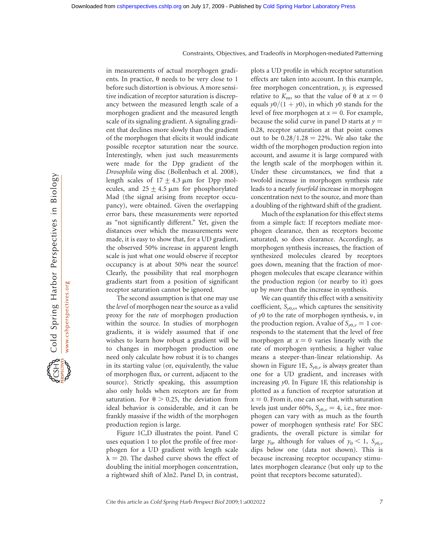Constraints, Objectives, and Tradeoffs in Morphogen-mediated Patterning

in measurements of actual morphogen gradients. In practice,  $\theta$  needs to be very close to 1 before such distortion is obvious. A more sensitive indication of receptor saturation is discrepancy between the measured length scale of a morphogen gradient and the measured length scale of its signaling gradient. A signaling gradient that declines more slowly than the gradient of the morphogen that elicits it would indicate possible receptor saturation near the source. Interestingly, when just such measurements were made for the Dpp gradient of the Drosophila wing disc (Bollenbach et al. 2008), length scales of  $17 \pm 4.3$  µm for Dpp molecules, and  $25 \pm 4.5 \,\mu m$  for phosphorylated Mad (the signal arising from receptor occupancy), were obtained. Given the overlapping error bars, these measurements were reported as "not significantly different." Yet, given the distances over which the measurements were made, it is easy to show that, for a UD gradient, the observed 50% increase in apparent length scale is just what one would observe if receptor occupancy is at about 50% near the source! Clearly, the possibility that real morphogen gradients start from a position of significant receptor saturation cannot be ignored.

The second assumption is that one may use the *level* of morphogen near the source as a valid proxy for the rate of morphogen production within the source. In studies of morphogen gradients, it is widely assumed that if one wishes to learn how robust a gradient will be to changes in morphogen production one need only calculate how robust it is to changes in its starting value (or, equivalently, the value of morphogen flux, or current, adjacent to the source). Strictly speaking, this assumption also only holds when receptors are far from saturation. For  $\theta > 0.25$ , the deviation from ideal behavior is considerable, and it can be frankly massive if the width of the morphogen production region is large.

Figure 1C,D illustrates the point. Panel C uses equation 1 to plot the profile of free morphogen for a UD gradient with length scale  $\lambda = 20$ . The dashed curve shows the effect of doubling the initial morphogen concentration, a rightward shift of  $\lambda$ ln2. Panel D, in contrast, plots a UD profile in which receptor saturation effects are taken into account. In this example, free morphogen concentration, y, is expressed relative to  $K_{\rm m}$ , so that the value of  $\theta$  at  $x = 0$ equals  $y0/(1 + y0)$ , in which y0 stands for the level of free morphogen at  $x = 0$ . For example, because the solid curve in panel D starts at  $y =$ 0.28, receptor saturation at that point comes out to be  $0.28/1.28 = 22%$ . We also take the width of the morphogen production region into account, and assume it is large compared with the length scale of the morphogen within it. Under these circumstances, we find that a twofold increase in morphogen synthesis rate leads to a nearly fourfold increase in morphogen concentration next to the source, and more than a doubling of the rightward shift of the gradient.

Much of the explanation for this effect stems from a simple fact: If receptors mediate morphogen clearance, then as receptors become saturated, so does clearance. Accordingly, as morphogen synthesis increases, the fraction of synthesized molecules cleared by receptors goes down, meaning that the fraction of morphogen molecules that escape clearance within the production region (or nearby to it) goes up by *more* than the increase in synthesis.

We can quantify this effect with a sensitivity coefficient,  $S_{\nu 0,\nu}$ , which captures the sensitivity of  $y0$  to the rate of morphogen synthesis,  $v$ , in the production region. Avalue of  $S_{\nu 0,\nu} = 1$  corresponds to the statement that the level of free morphogen at  $x = 0$  varies linearly with the rate of morphogen synthesis; a higher value means a steeper-than-linear relationship. As shown in Figure 1E,  $S_{y0,y}$  is always greater than one for a UD gradient, and increases with increasing  $y0$ . In Figure 1F, this relationship is plotted as a function of receptor saturation at  $x = 0$ . From it, one can see that, with saturation levels just under 60%,  $S_{\gamma 0, \nu} = 4$ , i.e., free morphogen can vary with as much as the fourth power of morphogen synthesis rate! For SEC gradients, the overall picture is similar for large  $y_0$ , although for values of  $y_0 < 1$ ,  $S_{y0,y}$ dips below one (data not shown). This is because increasing receptor occupancy stimulates morphogen clearance (but only up to the point that receptors become saturated).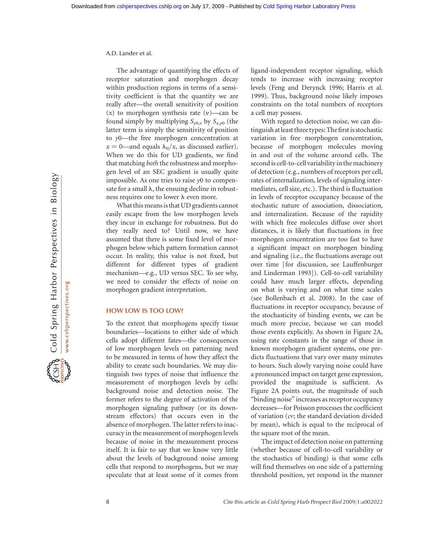The advantage of quantifying the effects of receptor saturation and morphogen decay within production regions in terms of a sensitivity coefficient is that the quantity we are really after—the overall sensitivity of position  $(x)$  to morphogen synthesis rate  $(v)$ —can be found simply by multiplying  $S_{\nu 0,\nu}$  by  $S_{x,\nu 0}$  (the latter term is simply the sensitivity of position to y0—the free morphogen concentration at  $x = 0$ —and equals  $\lambda_0/x$ , as discussed earlier). When we do this for UD gradients, we find that matching both the robustness and morphogen level of an SEC gradient is usually quite impossible. As one tries to raise  $y0$  to compensate for a small  $\lambda$ , the ensuing decline in robustness requires one to lower  $\lambda$  even more.

What this means is that UD gradients cannot easily escape from the low morphogen levels they incur in exchange for robustness. But do they really need to? Until now, we have assumed that there is some fixed level of morphogen below which pattern formation cannot occur. In reality, this value is not fixed, but different for different types of gradient mechanism—e.g., UD versus SEC. To see why, we need to consider the effects of noise on morphogen gradient interpretation.

### HOW LOW IS TOO LOW?

To the extent that morphogens specify tissue boundaries—locations to either side of which cells adopt different fates—the consequences of low morphogen levels on patterning need to be measured in terms of how they affect the ability to create such boundaries. We may distinguish two types of noise that influence the measurement of morphogen levels by cells: background noise and detection noise. The former refers to the degree of activation of the morphogen signaling pathway (or its downstream effectors) that occurs even in the absence of morphogen. The latter refers to inaccuracy in the measurement of morphogen levels because of noise in the measurement process itself. It is fair to say that we know very little about the levels of background noise among cells that respond to morphogens, but we may speculate that at least some of it comes from

ligand-independent receptor signaling, which tends to increase with increasing receptor levels (Feng and Derynck 1996; Harris et al. 1999). Thus, background noise likely imposes constraints on the total numbers of receptors a cell may possess.

With regard to detection noise, we can distinguish at least three types: The first is stochastic variation in free morphogen concentration, because of morphogen molecules moving in and out of the volume around cells. The second is cell-to-cell variability in the machinery of detection (e.g., numbers of receptors per cell, rates of internalization, levels of signaling intermediates, cell size, etc.). The third is fluctuation in levels of receptor occupancy because of the stochastic nature of association, dissociation, and internalization. Because of the rapidity with which free molecules diffuse over short distances, it is likely that fluctuations in free morphogen concentration are too fast to have a significant impact on morphogen binding and signaling (i.e., the fluctuations average out over time [for discussion, see Lauffenburger and Linderman 1993]). Cell-to-cell variability could have much larger effects, depending on what is varying and on what time scales (see Bollenbach et al. 2008). In the case of fluctuations in receptor occupancy, because of the stochasticity of binding events, we can be much more precise, because we can model those events explicitly. As shown in Figure 2A, using rate constants in the range of those in known morphogen gradient systems, one predicts fluctuations that vary over many minutes to hours. Such slowly varying noise could have a pronounced impact on target gene expression, provided the magnitude is sufficient. As Figure 2A points out, the magnitude of such "binding noise" increases as receptor occupancy decreases—for Poisson processes the coefficient of variation (cv; the standard deviation divided by mean), which is equal to the reciprocal of the square root of the mean.

The impact of detection noise on patterning (whether because of cell-to-cell variability or the stochastics of binding) is that some cells will find themselves on one side of a patterning threshold position, yet respond in the manner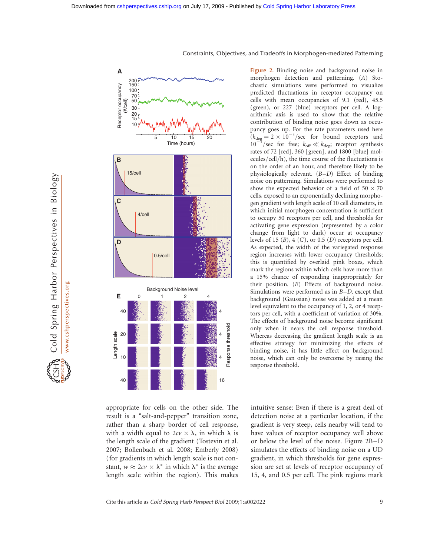#### Constraints, Objectives, and Tradeoffs in Morphogen-mediated Patterning



appropriate for cells on the other side. The result is a "salt-and-pepper" transition zone, rather than a sharp border of cell response, with a width equal to  $2cv \times \lambda$ , in which  $\lambda$  is the length scale of the gradient (Tostevin et al. 2007; Bollenbach et al. 2008; Emberly 2008) (for gradients in which length scale is not constant,  $w \approx 2cv \times \lambda^*$  in which  $\lambda^*$  is the average length scale within the region). This makes

Figure 2. Binding noise and background noise in morphogen detection and patterning. (A) Stochastic simulations were performed to visualize predicted fluctuations in receptor occupancy on cells with mean occupancies of 9.1 (red), 45.5 (green), or 227 (blue) receptors per cell. A logarithmic axis is used to show that the relative contribution of binding noise goes down as occupancy goes up. For the rate parameters used here  $(k_{\text{deg}} = 2 \times 10^{-4} / \text{sec}$  for bound receptors and  $10^{-4}/\text{sec}$  for free;  $k_{\text{off}} \ll k_{\text{deg}}$ ; receptor synthesis rates of 72 [red], 360 [green], and 1800 [blue] molecules/cell/h), the time course of the fluctuations is on the order of an hour, and therefore likely to be physiologically relevant. (B–D) Effect of binding noise on patterning. Simulations were performed to show the expected behavior of a field of  $50 \times 70$ cells, exposed to an exponentially declining morphogen gradient with length scale of 10 cell diameters, in which initial morphogen concentration is sufficient to occupy 50 receptors per cell, and thresholds for activating gene expression (represented by a color change from light to dark) occur at occupancy levels of 15  $(B)$ , 4  $(C)$ , or 0.5  $(D)$  receptors per cell. As expected, the width of the variegated response region increases with lower occupancy thresholds; this is quantified by overlaid pink boxes, which mark the regions within which cells have more than a 15% chance of responding inappropriately for their position. (E) Effects of background noise. Simulations were performed as in  $B-D$ , except that background (Gaussian) noise was added at a mean level equivalent to the occupancy of 1, 2, or 4 receptors per cell, with a coefficient of variation of 30%. The effects of background noise become significant only when it nears the cell response threshold. Whereas decreasing the gradient length scale is an effective strategy for minimizing the effects of binding noise, it has little effect on background noise, which can only be overcome by raising the response threshold.

intuitive sense: Even if there is a great deal of detection noise at a particular location, if the gradient is very steep, cells nearby will tend to have values of receptor occupancy well above or below the level of the noise. Figure 2B–D simulates the effects of binding noise on a UD gradient, in which thresholds for gene expression are set at levels of receptor occupancy of 15, 4, and 0.5 per cell. The pink regions mark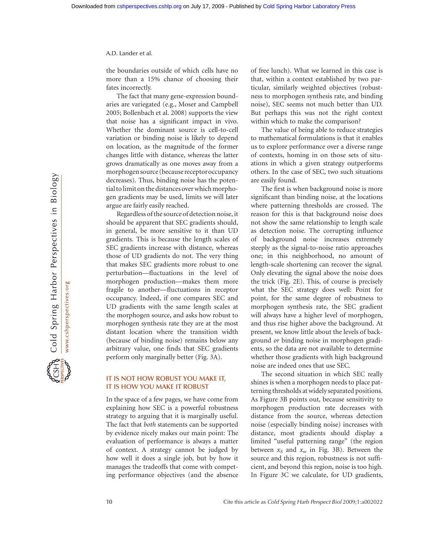the boundaries outside of which cells have no more than a 15% chance of choosing their fates incorrectly.

The fact that many gene-expression boundaries are variegated (e.g., Moser and Campbell 2005; Bollenbach et al. 2008) supports the view that noise has a significant impact in vivo. Whether the dominant source is cell-to-cell variation or binding noise is likely to depend on location, as the magnitude of the former changes little with distance, whereas the latter grows dramatically as one moves away from a morphogen source (because receptoroccupancy decreases). Thus, binding noise has the potential to limit on the distances over which morphogen gradients may be used, limits we will later argue are fairly easily reached.

Regardless of the source of detection noise, it should be apparent that SEC gradients should, in general, be more sensitive to it than UD gradients. This is because the length scales of SEC gradients increase with distance, whereas those of UD gradients do not. The very thing that makes SEC gradients more robust to one perturbation—fluctuations in the level of morphogen production—makes them more fragile to another—fluctuations in receptor occupancy. Indeed, if one compares SEC and UD gradients with the same length scales at the morphogen source, and asks how robust to morphogen synthesis rate they are at the most distant location where the transition width (because of binding noise) remains below any arbitrary value, one finds that SEC gradients perform only marginally better (Fig. 3A).

# IT IS NOT HOW ROBUST YOU MAKE IT, IT IS HOW YOU MAKE IT ROBUST

In the space of a few pages, we have come from explaining how SEC is a powerful robustness strategy to arguing that it is marginally useful. The fact that both statements can be supported by evidence nicely makes our main point: The evaluation of performance is always a matter of context. A strategy cannot be judged by how well it does a single job, but by how it manages the tradeoffs that come with competing performance objectives (and the absence of free lunch). What we learned in this case is that, within a context established by two particular, similarly weighted objectives (robustness to morphogen synthesis rate, and binding noise), SEC seems not much better than UD. But perhaps this was not the right context within which to make the comparison?

The value of being able to reduce strategies to mathematical formulations is that it enables us to explore performance over a diverse range of contexts, homing in on those sets of situations in which a given strategy outperforms others. In the case of SEC, two such situations are easily found.

The first is when background noise is more significant than binding noise, at the locations where patterning thresholds are crossed. The reason for this is that background noise does not show the same relationship to length scale as detection noise. The corrupting influence of background noise increases extremely steeply as the signal-to-noise ratio approaches one; in this neighborhood, no amount of length-scale shortening can recover the signal. Only elevating the signal above the noise does the trick (Fig. 2E). This, of course is precisely what the SEC strategy does well: Point for point, for the same degree of robustness to morphogen synthesis rate, the SEC gradient will always have a higher level of morphogen, and thus rise higher above the background. At present, we know little about the levels of background or binding noise in morphogen gradients, so the data are not available to determine whether those gradients with high background noise are indeed ones that use SEC.

The second situation in which SEC really shines is when a morphogen needs to place patterning thresholds at widely separated positions. As Figure 3B points out, because sensitivity to morphogen production rate decreases with distance from the source, whereas detection noise (especially binding noise) increases with distance, most gradients should display a limited "useful patterning range" (the region between  $x_S$  and  $x_w$  in Fig. 3B). Between the source and this region, robustness is not sufficient, and beyond this region, noise is too high. In Figure 3C we calculate, for UD gradients,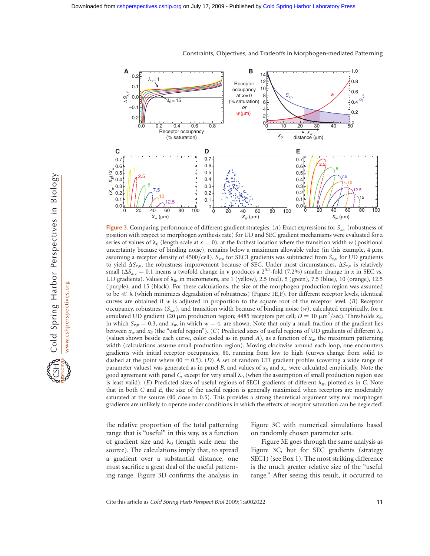

Constraints, Objectives, and Tradeoffs in Morphogen-mediated Patterning

Figure 3. Comparing performance of different gradient strategies. (A) Exact expressions for  $S_{xx}$  (robustness of position with respect to morphogen synthesis rate) for UD and SEC gradient mechanisms were evaluated for a series of values of  $\lambda_0$  (length scale at  $x = 0$ ), at the farthest location where the transition width w (positional uncertainty because of binding noise), remains below a maximum allowable value (in this example,  $4 \mu m$ , assuming a receptor density of 4500/cell).  $S_{xx}$  for SEC1 gradients was subtracted from  $S_{xx}$  for UD gradients to yield  $\Delta S_{x,y}$ , the robustness improvement because of SEC. Under most circumstances,  $\Delta S_{x,y}$  is relatively small  $(\Delta S_{xy} = 0.1$  means a twofold change in v produces a 2<sup>0.1</sup>-fold (7.2%) smaller change in x in SEC vs. UD gradients). Values of  $\lambda_0$ , in micrometers, are 1 (yellow), 2.5 (red), 5 (green), 7.5 (blue), 10 (orange), 12.5 (purple), and 15 (black). For these calculations, the size of the morphogen production region was assumed to be  $\ll \lambda$  (which minimizes degradation of robustness) (Figure 1E,F). For different receptor levels, identical curves are obtained if w is adjusted in proportion to the square root of the receptor level. (B) Receptor occupancy, robustness  $(S_{x,v})$ , and transition width because of binding noise (w), calculated empirically, for a simulated UD gradient (20  $\mu$ m production region; 4485 receptors per cell;  $D = 10 \ \mu m^2/sec$ ). Thresholds  $x_S$ , in which  $S_{x,y} = 0.3$ , and  $x_{yy}$  in which  $w = 4$ , are shown. Note that only a small fraction of the gradient lies between  $x_w$  and  $x_S$  (the "useful region"). (C) Predicted sizes of useful regions of UD gradients of different  $\lambda_0$ (values shown beside each curve, color coded as in panel A), as a function of  $x_w$ , the maximum patterning width (calculations assume small production region). Moving clockwise around each loop, one encounters gradients with initial receptor occupancies,  $\theta$ 0, running from low to high (curves change from solid to dashed at the point where  $\theta$ 0 = 0.5). (D) A set of random UD gradient profiles (covering a wide range of parameter values) was generated as in panel B, and values of  $x<sub>S</sub>$  and  $x<sub>w</sub>$  were calculated empirically. Note the good agreement with panel C, except for very small  $\lambda_0$  (when the assumption of small production region size is least valid). (E) Predicted sizes of useful regions of SEC1 gradients of different  $\lambda_0$ , plotted as in C. Note that in both  $C$  and  $E$ , the size of the useful region is generally maximized when receptors are moderately saturated at the source ( $\theta$ 0 close to 0.5). This provides a strong theoretical argument why real morphogen gradients are unlikely to operate under conditions in which the effects of receptor saturation can be neglected!

the relative proportion of the total patterning range that is "useful" in this way, as a function of gradient size and  $\lambda_0$  (length scale near the source). The calculations imply that, to spread a gradient over a substantial distance, one must sacrifice a great deal of the useful patterning range. Figure 3D confirms the analysis in

Figure 3C with numerical simulations based on randomly chosen parameter sets.

Figure 3E goes through the same analysis as Figure 3C, but for SEC gradients (strategy SEC1) (see Box 1). The most striking difference is the much greater relative size of the "useful range." After seeing this result, it occurred to

Cite this article as Cold Spring Harb Perspect Biol 2009;1:a002022 11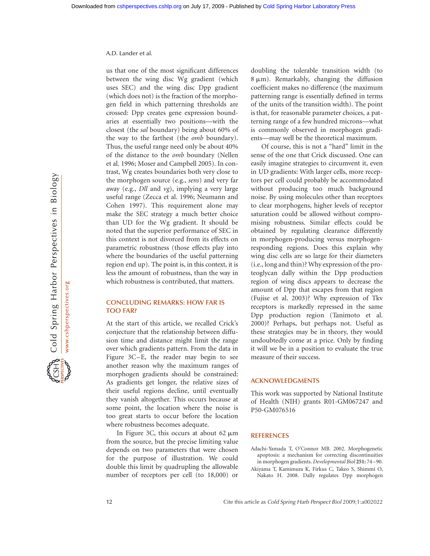us that one of the most significant differences between the wing disc Wg gradient (which uses SEC) and the wing disc Dpp gradient (which does not) is the fraction of the morphogen field in which patterning thresholds are crossed: Dpp creates gene expression boundaries at essentially two positions—with the closest (the sal boundary) being about 60% of the way to the farthest (the *omb* boundary). Thus, the useful range need only be about 40% of the distance to the omb boundary (Nellen et al. 1996; Moser and Campbell 2005). In contrast, Wg creates boundaries both very close to the morphogen source (e.g., sens) and very far away (e.g.,  $Dll$  and  $vg$ ), implying a very large useful range (Zecca et al. 1996; Neumann and Cohen 1997). This requirement alone may make the SEC strategy a much better choice than UD for the Wg gradient. It should be noted that the superior performance of SEC in this context is not divorced from its effects on parametric robustness (those effects play into where the boundaries of the useful patterning region end up). The point is, in this context, it is less the amount of robustness, than the way in which robustness is contributed, that matters.

# CONCLUDING REMARKS: HOW FAR IS TOO FAR?

At the start of this article, we recalled Crick's conjecture that the relationship between diffusion time and distance might limit the range over which gradients pattern. From the data in Figure 3C–E, the reader may begin to see another reason why the maximum ranges of morphogen gradients should be constrained: As gradients get longer, the relative sizes of their useful regions decline, until eventually they vanish altogether. This occurs because at some point, the location where the noise is too great starts to occur before the location where robustness becomes adequate.

In Figure 3C, this occurs at about 62  $\mu$ m from the source, but the precise limiting value depends on two parameters that were chosen for the purpose of illustration. We could double this limit by quadrupling the allowable number of receptors per cell (to 18,000) or doubling the tolerable transition width (to  $8 \mu m$ ). Remarkably, changing the diffusion coefficient makes no difference (the maximum patterning range is essentially defined in terms of the units of the transition width). The point is that, for reasonable parameter choices, a patterning range of a few hundred microns—what is commonly observed in morphogen gradients—may well be the theoretical maximum.

Of course, this is not a "hard" limit in the sense of the one that Crick discussed. One can easily imagine strategies to circumvent it, even in UD gradients: With larger cells, more receptors per cell could probably be accommodated without producing too much background noise. By using molecules other than receptors to clear morphogens, higher levels of receptor saturation could be allowed without compromising robustness. Similar effects could be obtained by regulating clearance differently in morphogen-producing versus morphogenresponding regions. Does this explain why wing disc cells are so large for their diameters (i.e., long and thin)? Why expression of the proteoglycan dally within the Dpp production region of wing discs appears to decrease the amount of Dpp that escapes from that region (Fujise et al. 2003)? Why expression of Tkv receptors is markedly repressed in the same Dpp production region (Tanimoto et al. 2000)? Perhaps, but perhaps not. Useful as these strategies may be in theory, they would undoubtedly come at a price. Only by finding it will we be in a position to evaluate the true measure of their success.

# ACKNOWLEDGMENTS

This work was supported by National Institute of Health (NIH) grants R01-GM067247 and P50-GM076516

# **REFERENCES**

- Adachi-Yamada T, O'Connor MB. 2002. Morphogenetic apoptosis: a mechanism for correcting discontinuities in morphogen gradients. Developmental Biol 251: 74–90.
- Akiyama T, Kamimura K, Firkus C, Takeo S, Shimmi O, Nakato H. 2008. Dally regulates Dpp morphogen

12 Cite this article as Cold Spring Harb Perspect Biol 2009;1:a002022